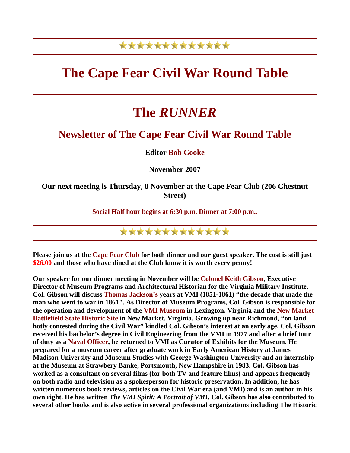### \*\*\*\*\*\*\*\*\*\*\*\*\*

## **The Cape Fear Civil War Round Table**

# **The** *RUNNER*

#### **Newsletter of The Cape Fear Civil War Round Table**

**Editor Bob Cooke** 

**November 2007** 

**Our next meeting is Thursday, 8 November at the Cape Fear Club (206 Chestnut Street)** 

**Social Half hour begins at 6:30 p.m. Dinner at 7:00 p.m..** 

\*\*\*\*\*\*\*\*\*\*\*\*\*

**Please join us at the Cape Fear Club for both dinner and our guest speaker. The cost is still just \$26.00 and those who have dined at the Club know it is worth every penny!** 

**Our speaker for our dinner meeting in November will be Colonel Keith Gibson, Executive Director of Museum Programs and Architectural Historian for the Virginia Military Institute. Col. Gibson will discuss Thomas Jackson's years at VMI (1851-1861) "the decade that made the man who went to war in 1861". As Director of Museum Programs, Col. Gibson is responsible for the operation and development of the VMI Museum in Lexington, Virginia and the New Market Battlefield State Historic Site in New Market, Virginia. Growing up near Richmond, "on land hotly contested during the Civil War" kindled Col. Gibson's interest at an early age. Col. Gibson received his bachelor's degree in Civil Engineering from the VMI in 1977 and after a brief tour of duty as a Naval Officer, he returned to VMI as Curator of Exhibits for the Museum. He prepared for a museum career after graduate work in Early American History at James Madison University and Museum Studies with George Washington University and an internship at the Museum at Strawbery Banke, Portsmouth, New Hampshire in 1983. Col. Gibson has worked as a consultant on several films (for both TV and feature films) and appears frequently on both radio and television as a spokesperson for historic preservation. In addition, he has written numerous book reviews, articles on the Civil War era (and VMI) and is an author in his own right. He has written** *The VMI Spirit: A Portrait of VMI***. Col. Gibson has also contributed to several other books and is also active in several professional organizations including The Historic**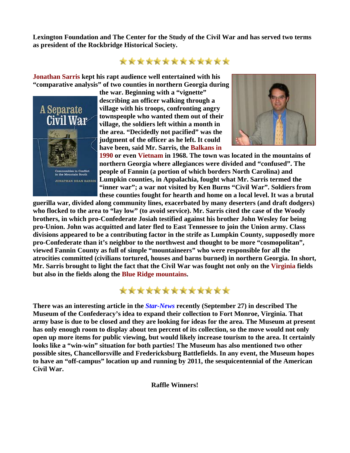**Lexington Foundation and The Center for the Study of the Civil War and has served two terms as president of the Rockbridge Historical Society.** 

#### \*\*\*\*\*\*\*\*\*\*\*\*\*

**Jonathan Sarris kept his rapt audience well entertained with his "comparative analysis" of two counties in northern Georgia during** 



**the war. Beginning with a "vignette" describing an officer walking through a village with his troops, confronting angry townspeople who wanted them out of their village, the soldiers left within a month in the area. "Decidedly not pacified" was the judgment of the officer as he left. It could have been, said Mr. Sarris, the Balkans in** 



**1990 or even Vietnam in 1968. The town was located in the mountains of northern Georgia where allegiances were divided and "confused". The people of Fannin (a portion of which borders North Carolina) and Lumpkin counties, in Appalachia, fought what Mr. Sarris termed the "inner war"; a war not visited by Ken Burns "Civil War". Soldiers from these counties fought for hearth and home on a local level. It was a brutal** 

guerilla war, divided along community lines, exacerbated by many deserters (and draft dodgers) **who flocked to the area to "lay low" (to avoid service). Mr. Sarris cited the case of the Woody**  brothers, in which pro-Confederate Josiah testified against his brother John Wesley for being **pro-Union. John was acquitted and later fled to East Tennessee to join the Union army. Class divisions appeared to be a contributing factor in the strife as Lumpkin County, supposed ly more pro-Confederate than it's neighbor to the northwest and thought to be more "cosmopolitan", viewed Fannin County as full of simple "mountaineers" who were responsible for all the atrocities committed (civilians tortured, houses and barns burned) in northern Georgia. In short, Mr. Sarris brought to light the fact that the Civil War was fought not only on the Virginia field s but also in the fields along the Blue Ridge mountains.** 



**There was an interesting article in the** *Star-News* **recently (September 27) in described The Museum of the Confederacy's idea to expand their collection to Fort Monroe, Virginia. That army base is due to be closed and they are looking for ideas for the area. The Museum at present has only enough room to display about ten percent of its collection, so the move would not only open up more items for public viewing, but would likely increase tourism to the area. It certainly looks like a "win-win" situation for both parties! The Museum has also mentioned two other possible sites, Chancellorsville and Fredericksburg Battlefields. In any event, the Museum hopes to have an "off-campus" location up and running by 2011, the sesquicentennial of the American Civil War.** 

**Raffle Winners!**